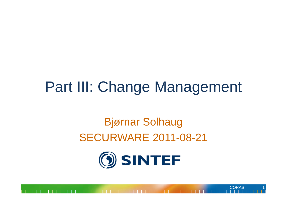#### Part III: Change Management

#### Bjørnar Solhaug SECURWARE 2011-08-21

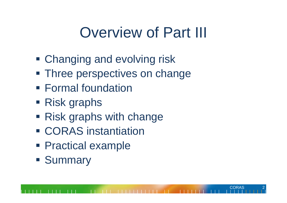#### Overview of Part III

CORAS

2

- Changing and evolving risk
- **Three perspectives on change**
- **Formal foundation**
- Risk graphs
- **Risk graphs with change**
- **ECORAS** instantiation
- **Practical example**
- **Summary**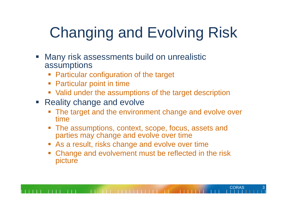# Changing and Evolving Risk

- $\mathcal{L}_{\mathcal{A}}$  Many risk assessments build on unrealistic assumptions
	- Particular configuration of the target
	- Particular point in time
	- Valid under the assumptions of the target description
- **Reality change and evolve** 
	- **The target and the environment change and evolve over** time
	- $\mathcal{L}_{\mathcal{A}}$  The assumptions, context, scope, focus, assets and parties may change and evolve over time
	- **As a result, risks change and evolve over time**
	- Change and evolvement must be reflected in the risk picture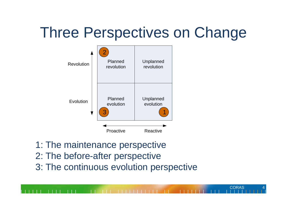# Three Perspectives on Change



- 1: The maintenance perspective
- 2: The before-after perspective
- 3: The continuous evolution perspective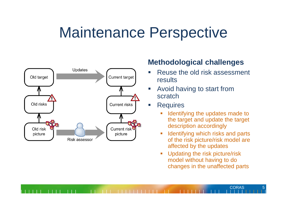#### Maintenance Perspective



#### **Methodological challenges**

- $\overline{\phantom{a}}$  Reuse the old risk assessment results
- $\mathcal{C}_{\mathcal{A}}$  Avoid having to start from scratch
- $\mathcal{L}_{\mathcal{A}}$ **Requires** 
	- $\mathcal{L}_{\mathcal{A}}$  Identifying the updates made to the target and update the target description accordingly
	- П Identifying which risks and parts of the risk picture/risk model are affected by the updates
	- Updating the risk picture/risk model without having to do changes in the unaffected parts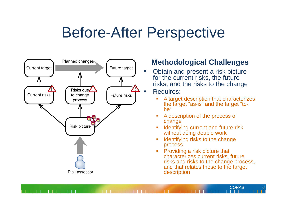#### Before-After Perspective



#### **Methodological Challenges**

 Obtain and present a risk picture for the current risks, the future risks, and the risks to the change

#### Requires:

- A target description that characterizes the target "as-is" and the target "tobe"
- г A description of the process of change
- Г Identifying current and future risk without doing double work
- Г Identifying risks to the change process
- Г Providing a risk picture that characterizes current risks, future risks and risks to the change process, and that relates these to the target description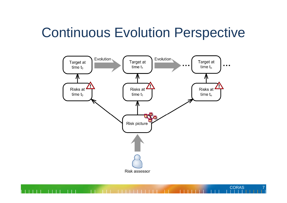#### Continuous Evolution Perspective

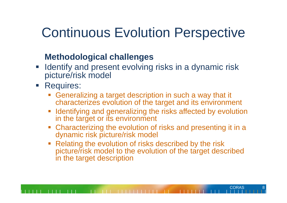#### Continuous Evolution Perspective

#### **Methodological challenges**

- **If Identify and present evolving risks in a dynamic risk** picture/risk model
- **Requires:** 
	- Generalizing a target description in such a way that it characterizes evolution of the target and its environment
	- F Identifying and generalizing the risks affected by evolution in the target or its environment
	- Characterizing the evolution of risks and presenting it in a dynamic risk picture/risk model
	- F Relating the evolution of risks described by the risk picture/risk model to the evolution of the target described in the target description

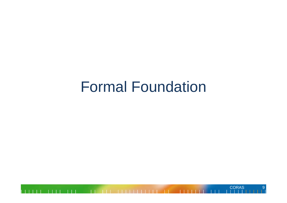#### Formal Foundation

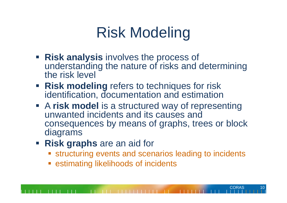# Risk Modeling

- **Risk analysis** involves the process of understanding the nature of risks and determining the risk level
- **Risk modeling** refers to techniques for risk identification, documentation and estimation
- A **risk model** is a structured way of representing unwanted incidents and its causes and consequences by means of graphs, trees or block diagrams
- **Risk graphs** are an aid for
	- **Example 13 resp. 15 resp. 15 resp. 15 resp. 15 resp. 15 resp. 16 resp. 16 resp. 16 resp. 16 resp. 16 resp. 16 r**

CORAS

**Example 12 Figure 13 Figure 12 Figure 12 Figure 12 Figure 12 Figure 12 Figure 12 Figure 12 Figure 12 Figure 12**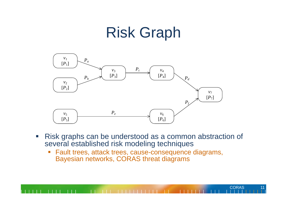#### Risk Graph



 $\overline{\phantom{a}}$  Risk graphs can be understood as a common abstraction of several established risk modeling techniques

**CORAS** 

 $\overline{\phantom{a}}$  Fault trees, attack trees, cause-consequence diagrams, Bayesian networks, CORAS threat diagrams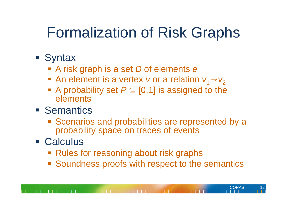## Formalization of Risk Graphs

- **Syntax** 
	- A risk graph is a set *D* of elements *e*
	- **•** An element is a vertex *v* or a relation  $v_1 \rightarrow v_2$
	- A probability set  $P \subseteq [0,1]$  is assigned to the elements
- **Semantics** 
	- **Scenarios and probabilities are represented by a** probability space on traces of events
- Calculus
	- **Rules for reasoning about risk graphs**
	- **Soundness proofs with respect to the semantics**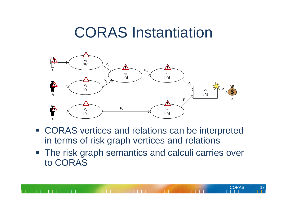#### CORAS Instantiation



- CORAS vertices and relations can be interpreted in terms of risk graph vertices and relations
- **The risk graph semantics and calculi carries over** to CORAS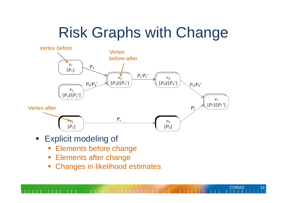# Risk Graphs with Change



- **Explicit modeling of** 
	- F Elements before change
	- $\overline{\phantom{a}}$ Elements after change
	- $\overline{\mathbb{R}^n}$ Changes in likelihood estimates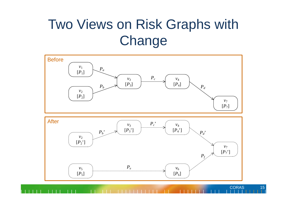#### Two Views on Risk Graphs with **Change**

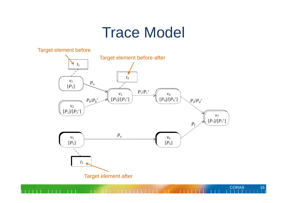#### Trace Model



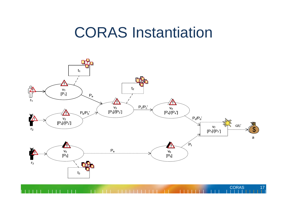#### CORAS Instantiation

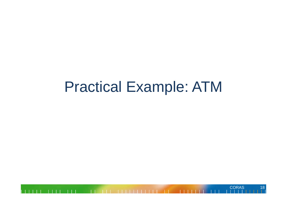#### Practical Example: ATM

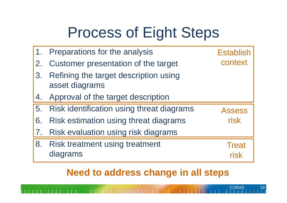# Process of Eight Steps

|    | Preparations for the analysis                           | <b>Establish</b>     |
|----|---------------------------------------------------------|----------------------|
| 2. | Customer presentation of the target                     | context              |
| 3. | Refining the target description using<br>asset diagrams |                      |
| 4. | Approval of the target description                      |                      |
| 5. | Risk identification using threat diagrams               | <b>Assess</b>        |
| 6. | Risk estimation using threat diagrams                   | risk                 |
| 7. | Risk evaluation using risk diagrams                     |                      |
| 8. | <b>Risk treatment using treatment</b><br>diagrams       | <b>Treat</b><br>risk |

**Need to address change in all steps**

**CORAS** 

19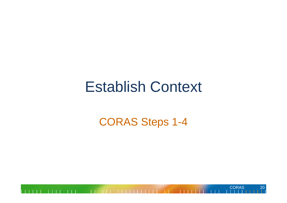#### Establish Context

#### CORAS Steps 1-4

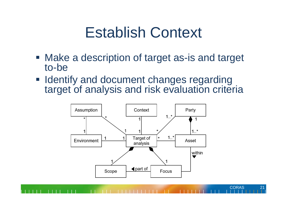#### Establish Context

- Make a description of target as-is and target to-be
- **I** Identify and document changes regarding target of analysis and risk evaluation criteria

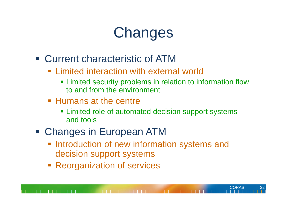# **Changes**

- Current characteristic of ATM
	- **Example 1 External world External world Fig. 2** External world
		- **Example 3** Limited security problems in relation to information flow to and from the environment
	- **Humans at the centre** 
		- **Example 1** Limited role of automated decision support systems and tools

- Changes in European ATM
	- **Introduction of new information systems and** decision support systems
	- **Reorganization of services**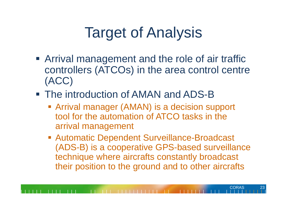# Target of Analysis

- **Arrival management and the role of air traffic** controllers (ATCOs) in the area control centre (ACC)
- The introduction of AMAN and ADS-B
	- **Example 2 Fig. 2 Arrival manager (AMAN) is a decision support** tool for the automation of ATCO tasks in the arrival management
	- **Automatic Dependent Surveillance-Broadcast** (ADS-B) is a cooperative GPS-based surveillance technique where aircrafts constantly broadcast their position to the ground and to other aircrafts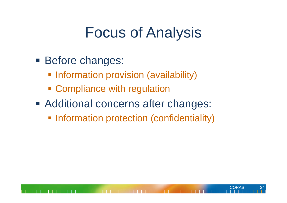### Focus of Analysis

- **Before changes:** 
	- **Information provision (availability)**
	- **Exampliance with regulation**
- **Additional concerns after changes:** 
	- **Information protection (confidentiality)**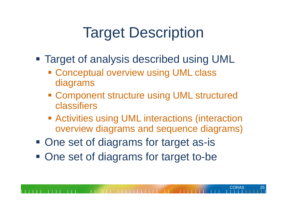# Target Description

- Target of analysis described using UML
	- **Example 2 Conceptual overview using UML class** diagrams
	- **Example Component structure using UML structured** classifiers
	- **EXECT Activities using UML interactions (interaction** overview diagrams and sequence diagrams)
- **One set of diagrams for target as-is**
- **One set of diagrams for target to-be**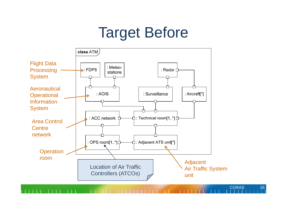### Target Before



26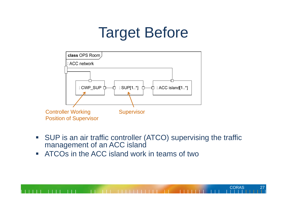## Target Before



 $\overline{\phantom{a}}$  SUP is an air traffic controller (ATCO) supervising the traffic management of an ACC island

**CORAS** 

27

 $\mathcal{L}_{\mathcal{A}}$ ATCOs in the ACC island work in teams of two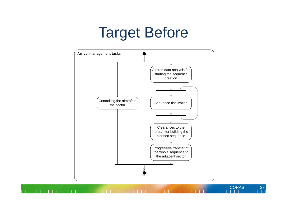#### Target Before

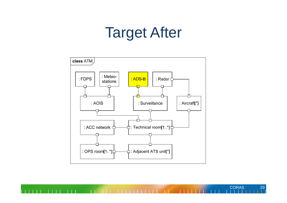#### Target After



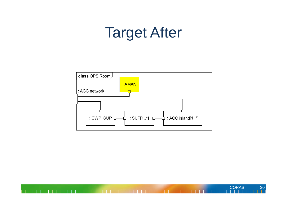#### Target After

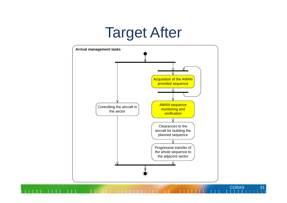#### Target After



**CORAS** 

31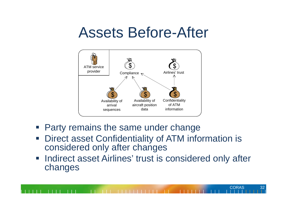#### Assets Before-After



- e<br>S Party remains the same under change
- **Direct asset Confidentiality of ATM information is** considered only after changes
- **Indirect asset Airlines' trust is considered only after** changes

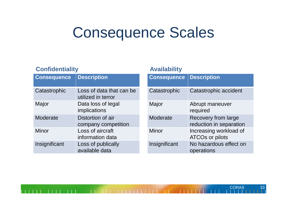#### Consequence Scales

#### **Confidentiality Availability**

| <b>Consequence</b> | <b>Description</b>                             |
|--------------------|------------------------------------------------|
| Catastrophic       | Loss of data that can be<br>utilized in terror |
| Major              | Data loss of legal<br>implications             |
| Moderate           | Distortion of air<br>company competition       |
| Minor              | Loss of aircraft<br>information data           |
| Insignificant      | Loss of publically<br>available data           |

| <b>Consequence</b> | <b>Description</b>                                    |
|--------------------|-------------------------------------------------------|
| Catastrophic       | Catastrophic accident                                 |
| Major              | Abrupt maneuver<br>required                           |
| Moderate           | <b>Recovery from large</b><br>reduction in separation |
| Minor              | Increasing workload of<br><b>ATCOs or pilots</b>      |
| Insignificant      | No hazardous effect on<br>operations                  |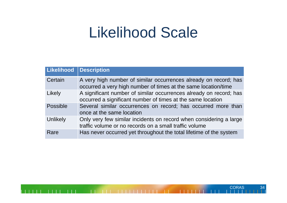#### Likelihood Scale

| Likelihood | <b>Description</b>                                                                                                                 |
|------------|------------------------------------------------------------------------------------------------------------------------------------|
| Certain    | A very high number of similar occurrences already on record; has<br>occurred a very high number of times at the same location/time |
| Likely     | A significant number of similar occurrences already on record; has<br>occurred a significant number of times at the same location  |
| Possible   | Several similar occurrences on record; has occurred more than<br>once at the same location                                         |
| Unlikely   | Only very few similar incidents on record when considering a large<br>traffic volume or no records on a small traffic volume       |
| Rare       | Has never occurred yet throughout the total lifetime of the system                                                                 |

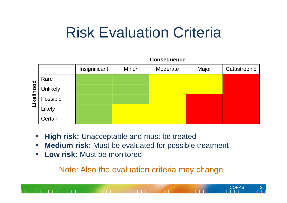#### Risk Evaluation Criteria

Consequence

|                                                |                 | <u>oonooquonoo</u> |       |          |       |              |
|------------------------------------------------|-----------------|--------------------|-------|----------|-------|--------------|
|                                                |                 | Insignificant      | Minor | Moderate | Major | Catastrophic |
| $\overline{8}$<br>Ŏ<br>$\overline{\mathbf{e}}$ | Rare            |                    |       |          |       |              |
|                                                | <b>Unlikely</b> |                    |       |          |       |              |
|                                                | Possible        |                    |       |          |       |              |
|                                                | Likely          |                    |       |          |       |              |
|                                                | Certain         |                    |       |          |       |              |

- $\mathbb{R}^n$ **High risk:** Unacceptable and must be treated
- $\Box$ **Medium risk:** Must be evaluated for possible treatment
- $\mathbb{Z}$  and  $\mathbb{Z}$ **Low risk:** Must be monitored

Note: Also the evaluation criteria may change

**CORAS** 

35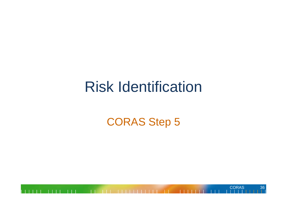#### Risk Identification

#### CORAS Step 5

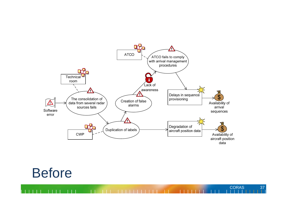

**CORAS** 

37

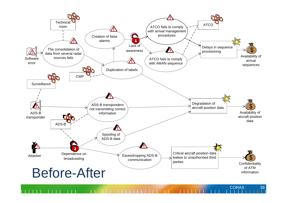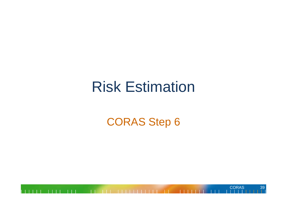#### Risk Estimation

#### CORAS Step 6

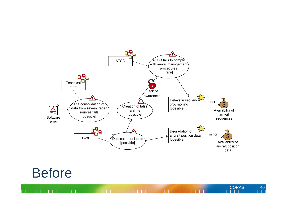

**CORAS** 

40

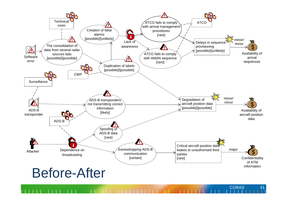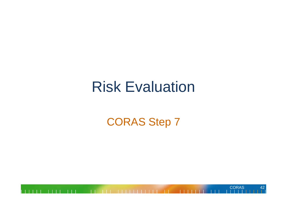#### Risk Evaluation

#### CORAS Step 7

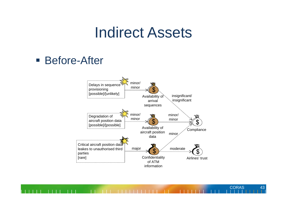#### Indirect Assets

#### Before-After



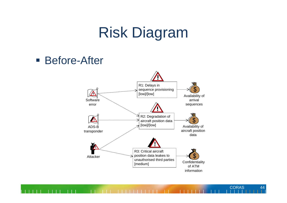### Risk Diagram

Before-After



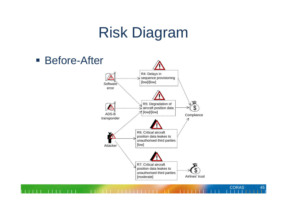## Risk Diagram



**CORAS** 

45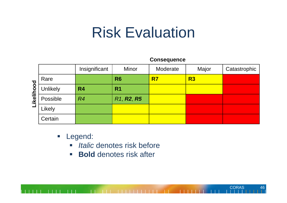#### Risk Evaluation

#### **Consequence**

**CORAS** 

46

|                            |                 | Insignificant | <b>Minor</b>                                     | Moderate | Major | Catastrophic |
|----------------------------|-----------------|---------------|--------------------------------------------------|----------|-------|--------------|
| poo<br>kelil<br><b>THE</b> | Rare            |               | R <sub>6</sub>                                   | R7       | R3    |              |
|                            | <b>Unlikely</b> | <b>R4</b>     | R <sub>1</sub>                                   |          |       |              |
|                            | Possible        | R4            | R <sub>1</sub> , R <sub>2</sub> , R <sub>5</sub> |          |       |              |
|                            | Likely          |               |                                                  |          |       |              |
|                            | Certain         |               |                                                  |          |       |              |

- **-** Legend:
	- **Intralic denotes risk before**
	- $\overline{\phantom{a}}$ **Bold** denotes risk after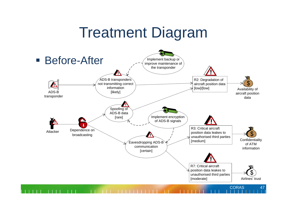### Treatment Diagram